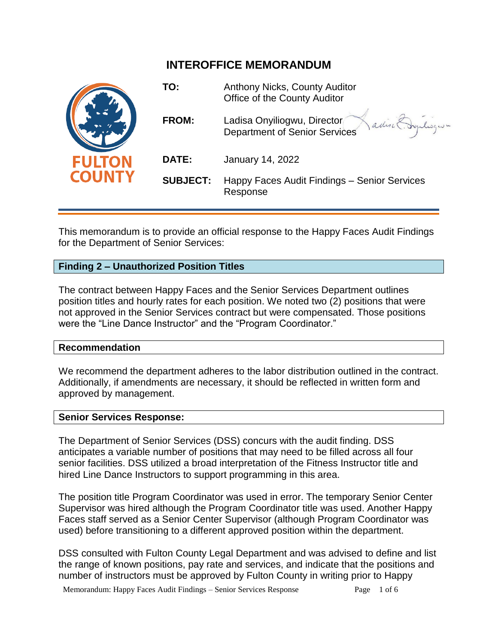# **INTEROFFICE MEMORANDUM**



This memorandum is to provide an official response to the Happy Faces Audit Findings for the Department of Senior Services:

## **Finding 2 – Unauthorized Position Titles**

The contract between Happy Faces and the Senior Services Department outlines position titles and hourly rates for each position. We noted two (2) positions that were not approved in the Senior Services contract but were compensated. Those positions were the "Line Dance Instructor" and the "Program Coordinator."

## **Recommendation**

We recommend the department adheres to the labor distribution outlined in the contract. Additionally, if amendments are necessary, it should be reflected in written form and approved by management.

## **Senior Services Response:**

The Department of Senior Services (DSS) concurs with the audit finding. DSS anticipates a variable number of positions that may need to be filled across all four senior facilities. DSS utilized a broad interpretation of the Fitness Instructor title and hired Line Dance Instructors to support programming in this area.

The position title Program Coordinator was used in error. The temporary Senior Center Supervisor was hired although the Program Coordinator title was used. Another Happy Faces staff served as a Senior Center Supervisor (although Program Coordinator was used) before transitioning to a different approved position within the department.

DSS consulted with Fulton County Legal Department and was advised to define and list the range of known positions, pay rate and services, and indicate that the positions and number of instructors must be approved by Fulton County in writing prior to Happy

Memorandum: Happy Faces Audit Findings – Senior Services Response Page 1 of 6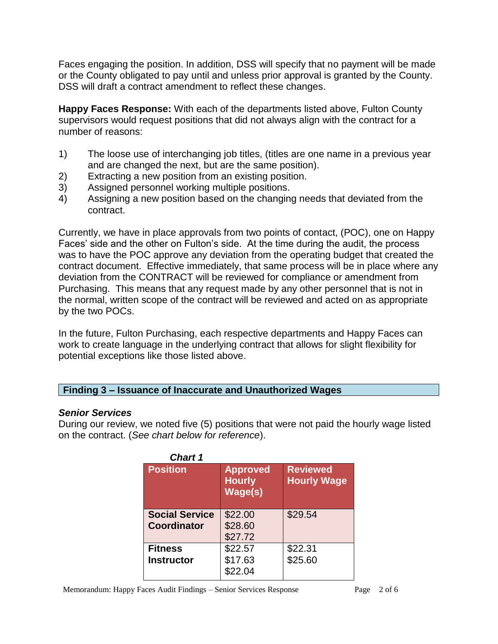Faces engaging the position. In addition, DSS will specify that no payment will be made or the County obligated to pay until and unless prior approval is granted by the County. DSS will draft a contract amendment to reflect these changes.

**Happy Faces Response:** With each of the departments listed above, Fulton County supervisors would request positions that did not always align with the contract for a number of reasons:

- 1) The loose use of interchanging job titles, (titles are one name in a previous year and are changed the next, but are the same position).
- 2) Extracting a new position from an existing position.
- 3) Assigned personnel working multiple positions.
- 4) Assigning a new position based on the changing needs that deviated from the contract.

Currently, we have in place approvals from two points of contact, (POC), one on Happy Faces' side and the other on Fulton's side. At the time during the audit, the process was to have the POC approve any deviation from the operating budget that created the contract document. Effective immediately, that same process will be in place where any deviation from the CONTRACT will be reviewed for compliance or amendment from Purchasing. This means that any request made by any other personnel that is not in the normal, written scope of the contract will be reviewed and acted on as appropriate by the two POCs.

In the future, Fulton Purchasing, each respective departments and Happy Faces can work to create language in the underlying contract that allows for slight flexibility for potential exceptions like those listed above.

## **Finding 3 – Issuance of Inaccurate and Unauthorized Wages**

## *Senior Services*

During our review, we noted five (5) positions that were not paid the hourly wage listed on the contract. (*See chart below for reference*).

| <b>Chart 1</b> |                                             |                                             |                                       |  |
|----------------|---------------------------------------------|---------------------------------------------|---------------------------------------|--|
|                | <b>Position</b>                             | <b>Approved</b><br><b>Hourly</b><br>Wage(s) | <b>Reviewed</b><br><b>Hourly Wage</b> |  |
|                | <b>Social Service</b><br><b>Coordinator</b> | \$22.00<br>\$28.60<br>\$27.72               | \$29.54                               |  |
|                | <b>Fitness</b><br><b>Instructor</b>         | \$22.57<br>\$17.63<br>\$22.04               | \$22.31<br>\$25.60                    |  |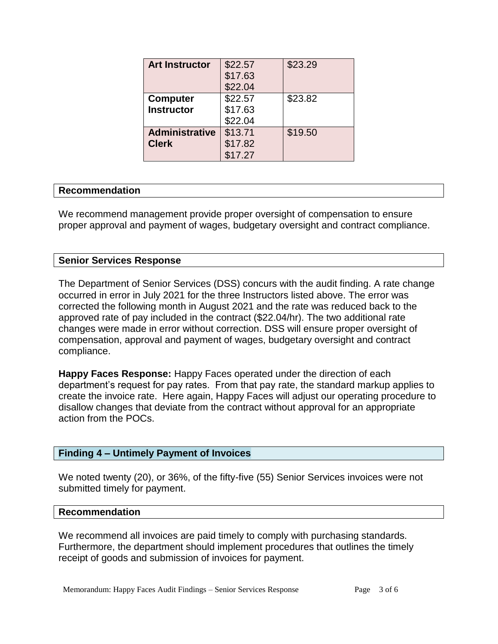| <b>Art Instructor</b> | \$22.57 | \$23.29 |
|-----------------------|---------|---------|
|                       | \$17.63 |         |
|                       | \$22.04 |         |
| <b>Computer</b>       | \$22.57 | \$23.82 |
| <b>Instructor</b>     | \$17.63 |         |
|                       | \$22.04 |         |
| <b>Administrative</b> | \$13.71 | \$19.50 |
| <b>Clerk</b>          | \$17.82 |         |
|                       | \$17.27 |         |

## **Recommendation**

We recommend management provide proper oversight of compensation to ensure proper approval and payment of wages, budgetary oversight and contract compliance.

#### **Senior Services Response**

The Department of Senior Services (DSS) concurs with the audit finding. A rate change occurred in error in July 2021 for the three Instructors listed above. The error was corrected the following month in August 2021 and the rate was reduced back to the approved rate of pay included in the contract (\$22.04/hr). The two additional rate changes were made in error without correction. DSS will ensure proper oversight of compensation, approval and payment of wages, budgetary oversight and contract compliance.

**Happy Faces Response:** Happy Faces operated under the direction of each department's request for pay rates. From that pay rate, the standard markup applies to create the invoice rate. Here again, Happy Faces will adjust our operating procedure to disallow changes that deviate from the contract without approval for an appropriate action from the POCs.

## **Finding 4 – Untimely Payment of Invoices**

We noted twenty (20), or 36%, of the fifty-five (55) Senior Services invoices were not submitted timely for payment.

#### **Recommendation**

We recommend all invoices are paid timely to comply with purchasing standards. Furthermore, the department should implement procedures that outlines the timely receipt of goods and submission of invoices for payment.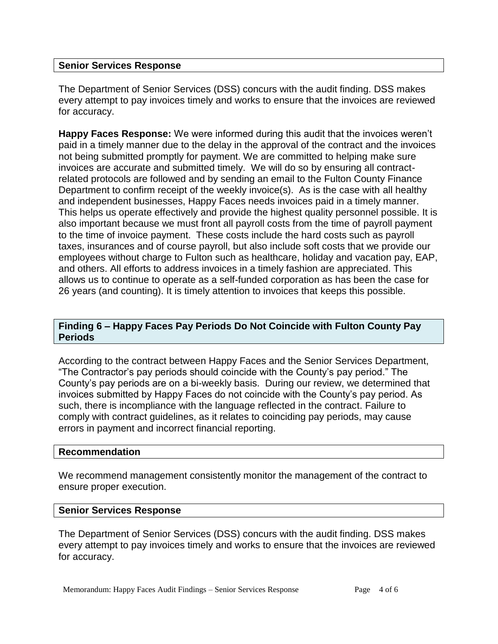## **Senior Services Response**

The Department of Senior Services (DSS) concurs with the audit finding. DSS makes every attempt to pay invoices timely and works to ensure that the invoices are reviewed for accuracy.

**Happy Faces Response:** We were informed during this audit that the invoices weren't paid in a timely manner due to the delay in the approval of the contract and the invoices not being submitted promptly for payment. We are committed to helping make sure invoices are accurate and submitted timely. We will do so by ensuring all contractrelated protocols are followed and by sending an email to the Fulton County Finance Department to confirm receipt of the weekly invoice(s). As is the case with all healthy and independent businesses, Happy Faces needs invoices paid in a timely manner. This helps us operate effectively and provide the highest quality personnel possible. It is also important because we must front all payroll costs from the time of payroll payment to the time of invoice payment. These costs include the hard costs such as payroll taxes, insurances and of course payroll, but also include soft costs that we provide our employees without charge to Fulton such as healthcare, holiday and vacation pay, EAP, and others. All efforts to address invoices in a timely fashion are appreciated. This allows us to continue to operate as a self-funded corporation as has been the case for 26 years (and counting). It is timely attention to invoices that keeps this possible.

## **Finding 6 – Happy Faces Pay Periods Do Not Coincide with Fulton County Pay Periods**

According to the contract between Happy Faces and the Senior Services Department, "The Contractor's pay periods should coincide with the County's pay period." The County's pay periods are on a bi-weekly basis. During our review, we determined that invoices submitted by Happy Faces do not coincide with the County's pay period. As such, there is incompliance with the language reflected in the contract. Failure to comply with contract guidelines, as it relates to coinciding pay periods, may cause errors in payment and incorrect financial reporting.

## **Recommendation**

We recommend management consistently monitor the management of the contract to ensure proper execution.

## **Senior Services Response**

The Department of Senior Services (DSS) concurs with the audit finding. DSS makes every attempt to pay invoices timely and works to ensure that the invoices are reviewed for accuracy.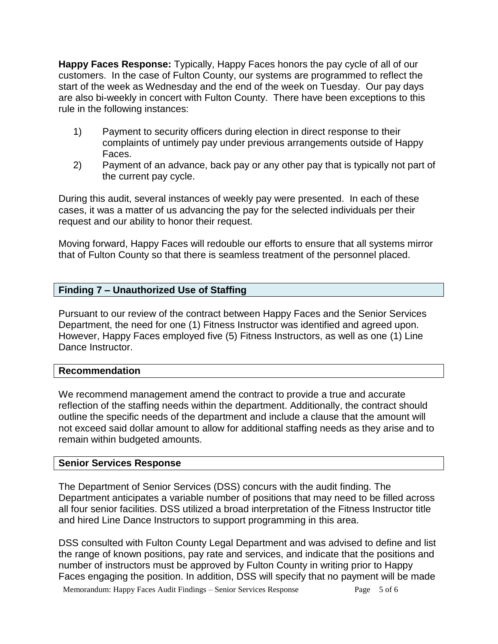**Happy Faces Response:** Typically, Happy Faces honors the pay cycle of all of our customers. In the case of Fulton County, our systems are programmed to reflect the start of the week as Wednesday and the end of the week on Tuesday. Our pay days are also bi-weekly in concert with Fulton County. There have been exceptions to this rule in the following instances:

- 1) Payment to security officers during election in direct response to their complaints of untimely pay under previous arrangements outside of Happy Faces.
- 2) Payment of an advance, back pay or any other pay that is typically not part of the current pay cycle.

During this audit, several instances of weekly pay were presented. In each of these cases, it was a matter of us advancing the pay for the selected individuals per their request and our ability to honor their request.

Moving forward, Happy Faces will redouble our efforts to ensure that all systems mirror that of Fulton County so that there is seamless treatment of the personnel placed.

## **Finding 7 – Unauthorized Use of Staffing**

Pursuant to our review of the contract between Happy Faces and the Senior Services Department, the need for one (1) Fitness Instructor was identified and agreed upon. However, Happy Faces employed five (5) Fitness Instructors, as well as one (1) Line Dance Instructor.

## **Recommendation**

We recommend management amend the contract to provide a true and accurate reflection of the staffing needs within the department. Additionally, the contract should outline the specific needs of the department and include a clause that the amount will not exceed said dollar amount to allow for additional staffing needs as they arise and to remain within budgeted amounts.

## **Senior Services Response**

The Department of Senior Services (DSS) concurs with the audit finding. The Department anticipates a variable number of positions that may need to be filled across all four senior facilities. DSS utilized a broad interpretation of the Fitness Instructor title and hired Line Dance Instructors to support programming in this area.

DSS consulted with Fulton County Legal Department and was advised to define and list the range of known positions, pay rate and services, and indicate that the positions and number of instructors must be approved by Fulton County in writing prior to Happy Faces engaging the position. In addition, DSS will specify that no payment will be made

Memorandum: Happy Faces Audit Findings – Senior Services Response Page 5 of 6